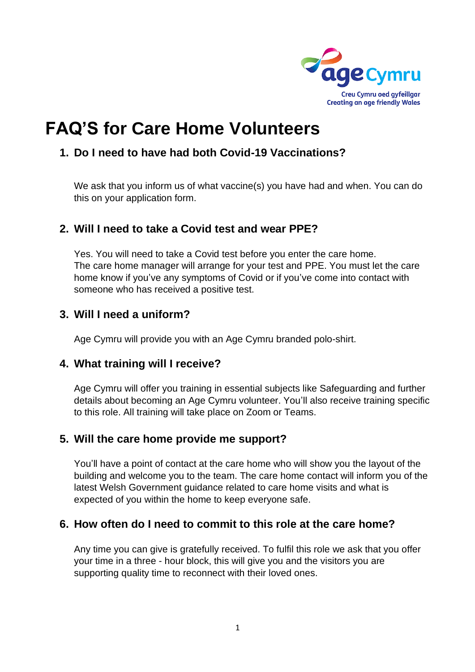

# **FAQ'S for Care Home Volunteers**

## **1. Do I need to have had both Covid-19 Vaccinations?**

We ask that you inform us of what vaccine(s) you have had and when. You can do this on your application form.

#### **2. Will I need to take a Covid test and wear PPE?**

Yes. You will need to take a Covid test before you enter the care home. The care home manager will arrange for your test and PPE. You must let the care home know if you've any symptoms of Covid or if you've come into contact with someone who has received a positive test.

## **3. Will I need a uniform?**

Age Cymru will provide you with an Age Cymru branded polo-shirt.

#### **4. What training will I receive?**

Age Cymru will offer you training in essential subjects like Safeguarding and further details about becoming an Age Cymru volunteer. You'll also receive training specific to this role. All training will take place on Zoom or Teams.

#### **5. Will the care home provide me support?**

You'll have a point of contact at the care home who will show you the layout of the building and welcome you to the team. The care home contact will inform you of the latest Welsh Government guidance related to care home visits and what is expected of you within the home to keep everyone safe.

#### **6. How often do I need to commit to this role at the care home?**

Any time you can give is gratefully received. To fulfil this role we ask that you offer your time in a three - hour block, this will give you and the visitors you are supporting quality time to reconnect with their loved ones.